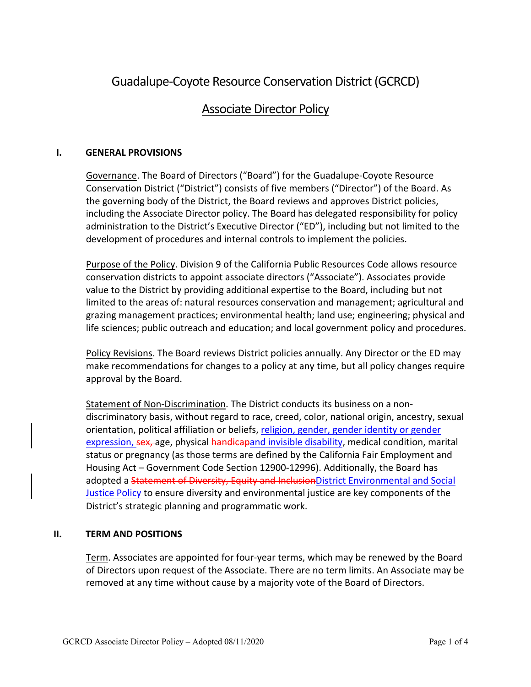# Guadalupe-Coyote Resource Conservation District(GCRCD)

## Associate Director Policy

#### **I. GENERAL PROVISIONS**

Governance. The Board of Directors ("Board") for the Guadalupe-Coyote Resource Conservation District ("District") consists of five members ("Director") of the Board. As the governing body of the District, the Board reviews and approves District policies, including the Associate Director policy. The Board has delegated responsibility for policy administration to the District's Executive Director ("ED"), including but not limited to the development of procedures and internal controls to implement the policies.

Purpose of the Policy. Division 9 of the California Public Resources Code allows resource conservation districts to appoint associate directors ("Associate"). Associates provide value to the District by providing additional expertise to the Board, including but not limited to the areas of: natural resources conservation and management; agricultural and grazing management practices; environmental health; land use; engineering; physical and life sciences; public outreach and education; and local government policy and procedures.

Policy Revisions. The Board reviews District policies annually. Any Director or the ED may make recommendations for changes to a policy at any time, but all policy changes require approval by the Board.

Statement of Non-Discrimination. The District conducts its business on a nondiscriminatory basis, without regard to race, creed, color, national origin, ancestry, sexual orientation, political affiliation or beliefs, religion, gender, gender identity or gender expression, sex, age, physical handicapand invisible disability, medical condition, marital status or pregnancy (as those terms are defined by the California Fair Employment and Housing Act – Government Code Section 12900-12996). Additionally, the Board has adopted a Statement of Diversity, Equity and InclusionDistrict Environmental and Social Justice Policy to ensure diversity and environmental justice are key components of the District's strategic planning and programmatic work.

#### **II. TERM AND POSITIONS**

Term. Associates are appointed for four-year terms, which may be renewed by the Board of Directors upon request of the Associate. There are no term limits. An Associate may be removed at any time without cause by a majority vote of the Board of Directors.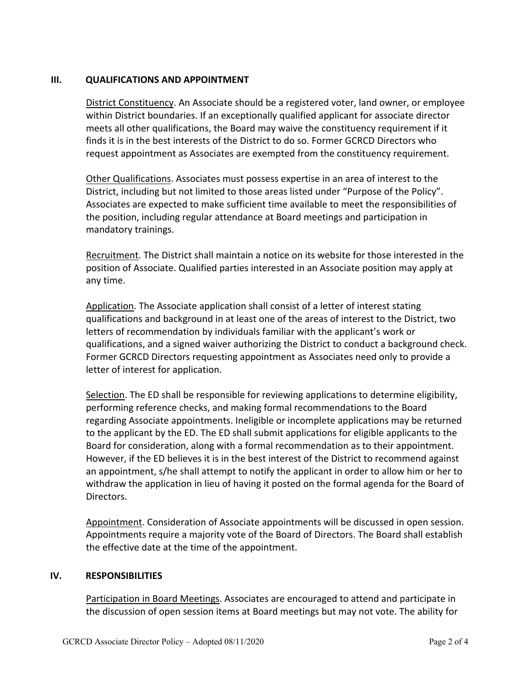#### **III. QUALIFICATIONS AND APPOINTMENT**

District Constituency. An Associate should be a registered voter, land owner, or employee within District boundaries. If an exceptionally qualified applicant for associate director meets all other qualifications, the Board may waive the constituency requirement if it finds it is in the best interests of the District to do so. Former GCRCD Directors who request appointment as Associates are exempted from the constituency requirement.

Other Qualifications. Associates must possess expertise in an area of interest to the District, including but not limited to those areas listed under "Purpose of the Policy". Associates are expected to make sufficient time available to meet the responsibilities of the position, including regular attendance at Board meetings and participation in mandatory trainings.

Recruitment. The District shall maintain a notice on its website for those interested in the position of Associate. Qualified parties interested in an Associate position may apply at any time.

Application. The Associate application shall consist of a letter of interest stating qualifications and background in at least one of the areas of interest to the District, two letters of recommendation by individuals familiar with the applicant's work or qualifications, and a signed waiver authorizing the District to conduct a background check. Former GCRCD Directors requesting appointment as Associates need only to provide a letter of interest for application.

Selection. The ED shall be responsible for reviewing applications to determine eligibility, performing reference checks, and making formal recommendations to the Board regarding Associate appointments. Ineligible or incomplete applications may be returned to the applicant by the ED. The ED shall submit applications for eligible applicants to the Board for consideration, along with a formal recommendation as to their appointment. However, if the ED believes it is in the best interest of the District to recommend against an appointment, s/he shall attempt to notify the applicant in order to allow him or her to withdraw the application in lieu of having it posted on the formal agenda for the Board of Directors.

Appointment. Consideration of Associate appointments will be discussed in open session. Appointments require a majority vote of the Board of Directors. The Board shall establish the effective date at the time of the appointment.

#### **IV. RESPONSIBILITIES**

Participation in Board Meetings. Associates are encouraged to attend and participate in the discussion of open session items at Board meetings but may not vote. The ability for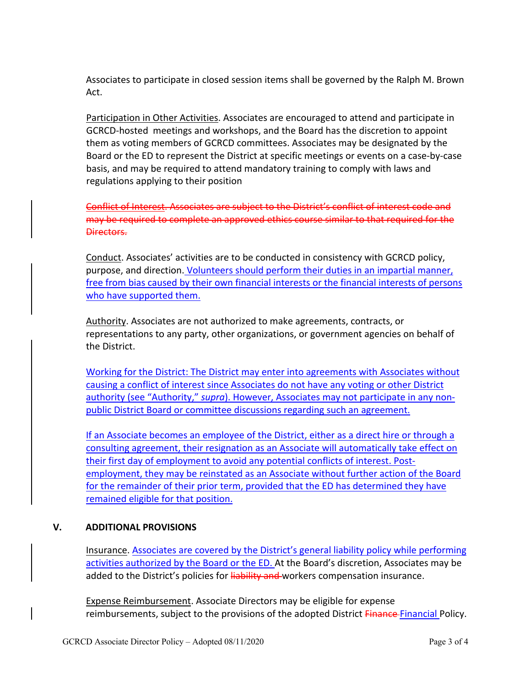Associates to participate in closed session items shall be governed by the Ralph M. Brown Act.

Participation in Other Activities. Associates are encouraged to attend and participate in GCRCD-hosted meetings and workshops, and the Board has the discretion to appoint them as voting members of GCRCD committees. Associates may be designated by the Board or the ED to represent the District at specific meetings or events on a case-by-case basis, and may be required to attend mandatory training to comply with laws and regulations applying to their position

Conflict of Interest. Associates are subject to the District's conflict of interest code and may be required to complete an approved ethics course similar to that required for the Directors.

Conduct. Associates' activities are to be conducted in consistency with GCRCD policy, purpose, and direction. Volunteers should perform their duties in an impartial manner, free from bias caused by their own financial interests or the financial interests of persons who have supported them.

Authority. Associates are not authorized to make agreements, contracts, or representations to any party, other organizations, or government agencies on behalf of the District.

Working for the District: The District may enter into agreements with Associates without causing a conflict of interest since Associates do not have any voting or other District authority (see "Authority," *supra*). However, Associates may not participate in any nonpublic District Board or committee discussions regarding such an agreement.

If an Associate becomes an employee of the District, either as a direct hire or through a consulting agreement, their resignation as an Associate will automatically take effect on their first day of employment to avoid any potential conflicts of interest. Postemployment, they may be reinstated as an Associate without further action of the Board for the remainder of their prior term, provided that the ED has determined they have remained eligible for that position.

### **V. ADDITIONAL PROVISIONS**

Insurance. Associates are covered by the District's general liability policy while performing activities authorized by the Board or the ED. At the Board's discretion, Associates may be added to the District's policies for liability and workers compensation insurance.

Expense Reimbursement. Associate Directors may be eligible for expense reimbursements, subject to the provisions of the adopted District Finance Financial Policy.